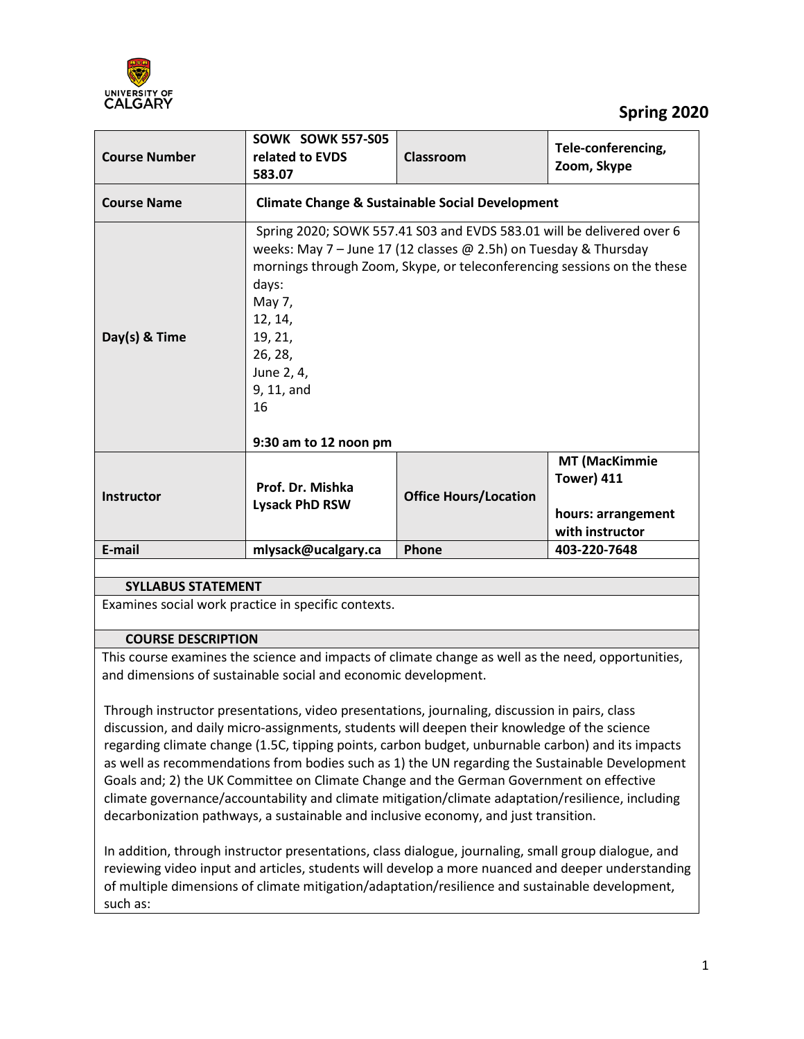

# **Spring 2020**

| <b>Course Number</b>                               | SOWK SOWK 557-S05<br>related to EVDS<br>583.07                                                                                                                                                                                                                                                                    | Classroom                    | Tele-conferencing,<br>Zoom, Skype                                                  |  |
|----------------------------------------------------|-------------------------------------------------------------------------------------------------------------------------------------------------------------------------------------------------------------------------------------------------------------------------------------------------------------------|------------------------------|------------------------------------------------------------------------------------|--|
| <b>Course Name</b>                                 | <b>Climate Change &amp; Sustainable Social Development</b>                                                                                                                                                                                                                                                        |                              |                                                                                    |  |
| Day(s) & Time                                      | Spring 2020; SOWK 557.41 S03 and EVDS 583.01 will be delivered over 6<br>weeks: May 7 – June 17 (12 classes $\omega$ 2.5h) on Tuesday & Thursday<br>mornings through Zoom, Skype, or teleconferencing sessions on the these<br>days:<br>May 7,<br>12, 14,<br>19, 21,<br>26, 28,<br>June 2, 4,<br>9, 11, and<br>16 |                              |                                                                                    |  |
|                                                    | 9:30 am to 12 noon pm                                                                                                                                                                                                                                                                                             |                              |                                                                                    |  |
| <b>Instructor</b>                                  | Prof. Dr. Mishka<br><b>Lysack PhD RSW</b>                                                                                                                                                                                                                                                                         | <b>Office Hours/Location</b> | <b>MT (MacKimmie</b><br><b>Tower) 411</b><br>hours: arrangement<br>with instructor |  |
| E-mail                                             | mlysack@ucalgary.ca                                                                                                                                                                                                                                                                                               | Phone                        | 403-220-7648                                                                       |  |
|                                                    |                                                                                                                                                                                                                                                                                                                   |                              |                                                                                    |  |
| <b>SYLLABUS STATEMENT</b>                          |                                                                                                                                                                                                                                                                                                                   |                              |                                                                                    |  |
| Evamines social work practice in specific contexts |                                                                                                                                                                                                                                                                                                                   |                              |                                                                                    |  |

Examines social work practice in specific contexts.

#### **COURSE DESCRIPTION**

This course examines the science and impacts of climate change as well as the need, opportunities, and dimensions of sustainable social and economic development.

Through instructor presentations, video presentations, journaling, discussion in pairs, class discussion, and daily micro-assignments, students will deepen their knowledge of the science regarding climate change (1.5C, tipping points, carbon budget, unburnable carbon) and its impacts as well as recommendations from bodies such as 1) the UN regarding the Sustainable Development Goals and; 2) the UK Committee on Climate Change and the German Government on effective climate governance/accountability and climate mitigation/climate adaptation/resilience, including decarbonization pathways, a sustainable and inclusive economy, and just transition.

In addition, through instructor presentations, class dialogue, journaling, small group dialogue, and reviewing video input and articles, students will develop a more nuanced and deeper understanding of multiple dimensions of climate mitigation/adaptation/resilience and sustainable development, such as: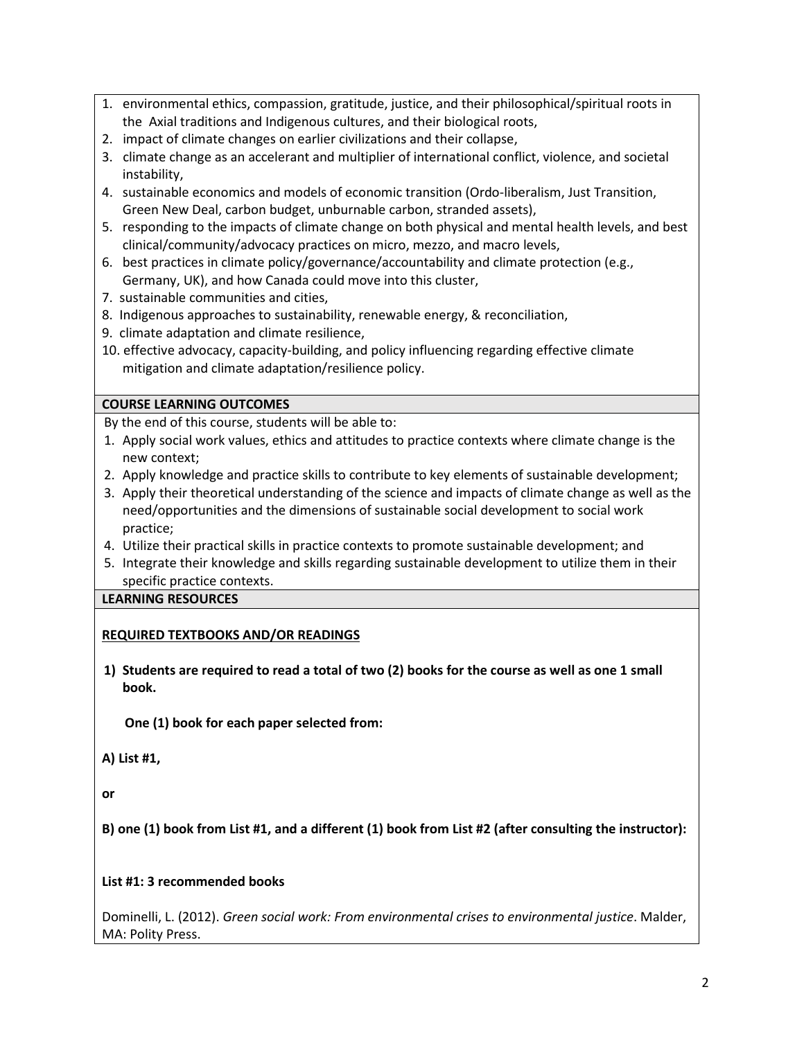- 1. environmental ethics, compassion, gratitude, justice, and their philosophical/spiritual roots in the Axial traditions and Indigenous cultures, and their biological roots,
- 2. impact of climate changes on earlier civilizations and their collapse,
- 3. climate change as an accelerant and multiplier of international conflict, violence, and societal instability,
- 4. sustainable economics and models of economic transition (Ordo-liberalism, Just Transition, Green New Deal, carbon budget, unburnable carbon, stranded assets),
- 5. responding to the impacts of climate change on both physical and mental health levels, and best clinical/community/advocacy practices on micro, mezzo, and macro levels,
- 6. best practices in climate policy/governance/accountability and climate protection (e.g., Germany, UK), and how Canada could move into this cluster,
- 7. sustainable communities and cities,
- 8. Indigenous approaches to sustainability, renewable energy, & reconciliation,
- 9. climate adaptation and climate resilience,
- 10. effective advocacy, capacity-building, and policy influencing regarding effective climate mitigation and climate adaptation/resilience policy.

### **COURSE LEARNING OUTCOMES**

By the end of this course, students will be able to:

- 1. Apply social work values, ethics and attitudes to practice contexts where climate change is the new context;
- 2. Apply knowledge and practice skills to contribute to key elements of sustainable development;
- 3. Apply their theoretical understanding of the science and impacts of climate change as well as the need/opportunities and the dimensions of sustainable social development to social work practice;
- 4. Utilize their practical skills in practice contexts to promote sustainable development; and
- 5. Integrate their knowledge and skills regarding sustainable development to utilize them in their specific practice contexts.

### **LEARNING RESOURCES**

## **REQUIRED TEXTBOOKS AND/OR READINGS**

**1) Students are required to read a total of two (2) books for the course as well as one 1 small book.**

 **One (1) book for each paper selected from:**

**A) List #1,** 

**or** 

**B) one (1) book from List #1, and a different (1) book from List #2 (after consulting the instructor):**

### **List #1: 3 recommended books**

Dominelli, L. (2012). *Green social work: From environmental crises to environmental justice*. Malder, MA: Polity Press.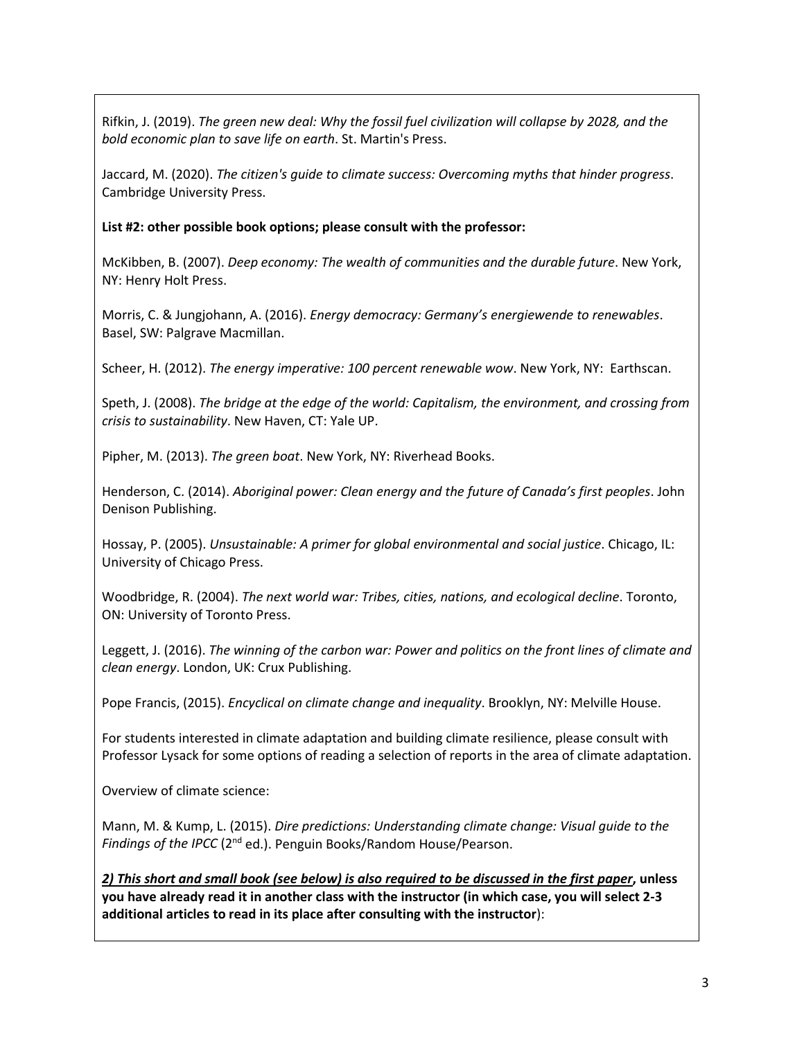Rifkin, J. (2019). *The green new deal: Why the fossil fuel civilization will collapse by 2028, and the bold economic plan to save life on earth*. St. Martin's Press.

Jaccard, M. (2020). *The citizen's guide to climate success: Overcoming myths that hinder progress*. Cambridge University Press.

### **List #2: other possible book options; please consult with the professor:**

McKibben, B. (2007). *Deep economy: The wealth of communities and the durable future*. New York, NY: Henry Holt Press.

Morris, C. & Jungjohann, A. (2016). *Energy democracy: Germany's energiewende to renewables*. Basel, SW: Palgrave Macmillan.

Scheer, H. (2012). *The energy imperative: 100 percent renewable wow*. New York, NY: Earthscan.

Speth, J. (2008). *The bridge at the edge of the world: Capitalism, the environment, and crossing from crisis to sustainability*. New Haven, CT: Yale UP.

Pipher, M. (2013). *The green boat*. New York, NY: Riverhead Books.

Henderson, C. (2014). *Aboriginal power: Clean energy and the future of Canada's first peoples*. John Denison Publishing.

Hossay, P. (2005). *Unsustainable: A primer for global environmental and social justice*. Chicago, IL: University of Chicago Press.

Woodbridge, R. (2004). *The next world war: Tribes, cities, nations, and ecological decline*. Toronto, ON: University of Toronto Press.

Leggett, J. (2016). *The winning of the carbon war: Power and politics on the front lines of climate and clean energy*. London, UK: Crux Publishing.

Pope Francis, (2015). *Encyclical on climate change and inequality*. Brooklyn, NY: Melville House.

For students interested in climate adaptation and building climate resilience, please consult with Professor Lysack for some options of reading a selection of reports in the area of climate adaptation.

Overview of climate science:

Mann, M. & Kump, L. (2015). *Dire predictions: Understanding climate change: Visual guide to the*  Findings of the IPCC (2<sup>nd</sup> ed.). Penguin Books/Random House/Pearson.

*2) This short and small book (see below) is also required to be discussed in the first paper***, unless you have already read it in another class with the instructor (in which case, you will select 2-3 additional articles to read in its place after consulting with the instructor**):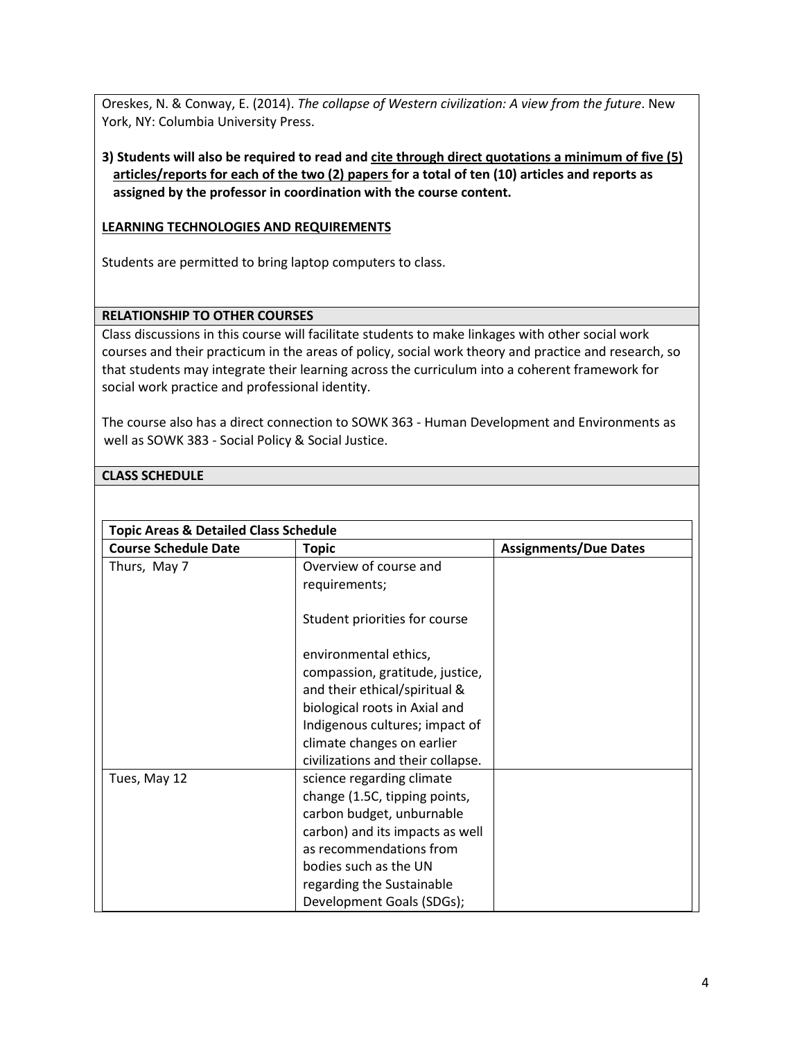Oreskes, N. & Conway, E. (2014). *The collapse of Western civilization: A view from the future*. New York, NY: Columbia University Press.

### **3) Students will also be required to read and cite through direct quotations a minimum of five (5) articles/reports for each of the two (2) papers for a total of ten (10) articles and reports as assigned by the professor in coordination with the course content.**

#### **LEARNING TECHNOLOGIES AND REQUIREMENTS**

Students are permitted to bring laptop computers to class.

#### **RELATIONSHIP TO OTHER COURSES**

Class discussions in this course will facilitate students to make linkages with other social work courses and their practicum in the areas of policy, social work theory and practice and research, so that students may integrate their learning across the curriculum into a coherent framework for social work practice and professional identity.

The course also has a direct connection to SOWK 363 - Human Development and Environments as well as SOWK 383 - Social Policy & Social Justice.

#### **CLASS SCHEDULE**

| <b>Topic Areas &amp; Detailed Class Schedule</b> |                                   |                              |  |
|--------------------------------------------------|-----------------------------------|------------------------------|--|
| <b>Course Schedule Date</b>                      | <b>Topic</b>                      | <b>Assignments/Due Dates</b> |  |
| Thurs, May 7                                     | Overview of course and            |                              |  |
|                                                  | requirements;                     |                              |  |
|                                                  | Student priorities for course     |                              |  |
|                                                  | environmental ethics,             |                              |  |
|                                                  | compassion, gratitude, justice,   |                              |  |
|                                                  | and their ethical/spiritual &     |                              |  |
|                                                  | biological roots in Axial and     |                              |  |
|                                                  | Indigenous cultures; impact of    |                              |  |
|                                                  | climate changes on earlier        |                              |  |
|                                                  | civilizations and their collapse. |                              |  |
| Tues, May 12                                     | science regarding climate         |                              |  |
|                                                  | change (1.5C, tipping points,     |                              |  |
|                                                  | carbon budget, unburnable         |                              |  |
|                                                  | carbon) and its impacts as well   |                              |  |
|                                                  | as recommendations from           |                              |  |
|                                                  | bodies such as the UN             |                              |  |
|                                                  | regarding the Sustainable         |                              |  |
|                                                  | Development Goals (SDGs);         |                              |  |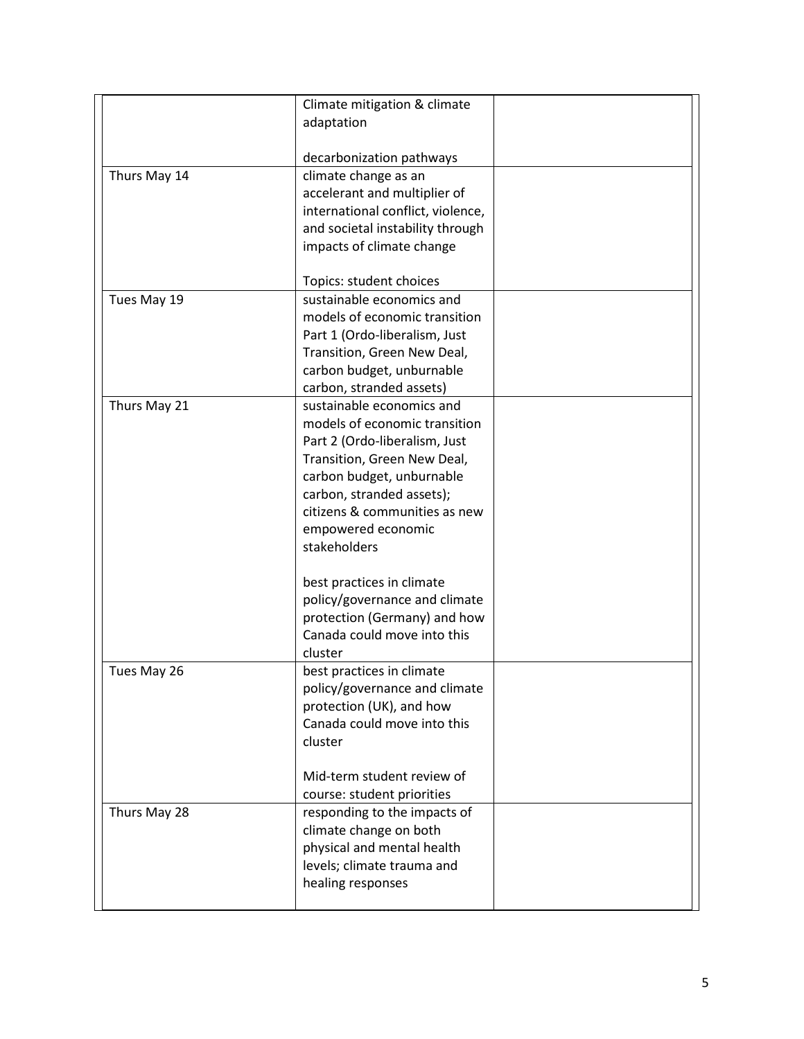|              | Climate mitigation & climate      |  |
|--------------|-----------------------------------|--|
|              | adaptation                        |  |
|              | decarbonization pathways          |  |
| Thurs May 14 | climate change as an              |  |
|              | accelerant and multiplier of      |  |
|              | international conflict, violence, |  |
|              | and societal instability through  |  |
|              | impacts of climate change         |  |
|              | Topics: student choices           |  |
| Tues May 19  | sustainable economics and         |  |
|              | models of economic transition     |  |
|              | Part 1 (Ordo-liberalism, Just     |  |
|              | Transition, Green New Deal,       |  |
|              | carbon budget, unburnable         |  |
|              | carbon, stranded assets)          |  |
| Thurs May 21 | sustainable economics and         |  |
|              | models of economic transition     |  |
|              | Part 2 (Ordo-liberalism, Just     |  |
|              | Transition, Green New Deal,       |  |
|              | carbon budget, unburnable         |  |
|              | carbon, stranded assets);         |  |
|              | citizens & communities as new     |  |
|              | empowered economic                |  |
|              | stakeholders                      |  |
|              | best practices in climate         |  |
|              | policy/governance and climate     |  |
|              | protection (Germany) and how      |  |
|              | Canada could move into this       |  |
|              | cluster                           |  |
| Tues May 26  | best practices in climate         |  |
|              | policy/governance and climate     |  |
|              | protection (UK), and how          |  |
|              | Canada could move into this       |  |
|              | cluster                           |  |
|              | Mid-term student review of        |  |
|              | course: student priorities        |  |
| Thurs May 28 | responding to the impacts of      |  |
|              | climate change on both            |  |
|              | physical and mental health        |  |
|              | levels; climate trauma and        |  |
|              | healing responses                 |  |
|              |                                   |  |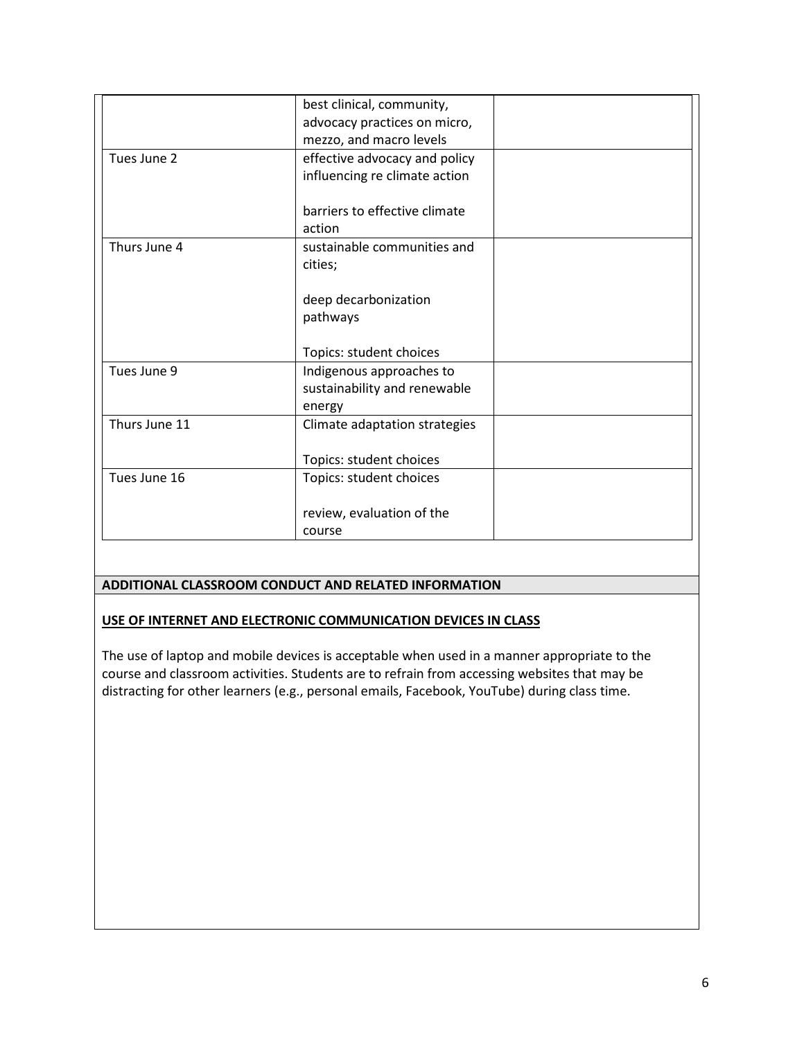| best clinical, community,     |                                                                                        |
|-------------------------------|----------------------------------------------------------------------------------------|
| advocacy practices on micro,  |                                                                                        |
| mezzo, and macro levels       |                                                                                        |
| effective advocacy and policy |                                                                                        |
| influencing re climate action |                                                                                        |
| barriers to effective climate |                                                                                        |
| action                        |                                                                                        |
| sustainable communities and   |                                                                                        |
| cities;                       |                                                                                        |
|                               |                                                                                        |
|                               |                                                                                        |
|                               |                                                                                        |
| Topics: student choices       |                                                                                        |
| Indigenous approaches to      |                                                                                        |
| sustainability and renewable  |                                                                                        |
| energy                        |                                                                                        |
| Climate adaptation strategies |                                                                                        |
|                               |                                                                                        |
|                               |                                                                                        |
|                               |                                                                                        |
| review, evaluation of the     |                                                                                        |
| course                        |                                                                                        |
|                               | deep decarbonization<br>pathways<br>Topics: student choices<br>Topics: student choices |

#### **ADDITIONAL CLASSROOM CONDUCT AND RELATED INFORMATION**

#### **USE OF INTERNET AND ELECTRONIC COMMUNICATION DEVICES IN CLASS**

The use of laptop and mobile devices is acceptable when used in a manner appropriate to the course and classroom activities. Students are to refrain from accessing websites that may be distracting for other learners (e.g., personal emails, Facebook, YouTube) during class time.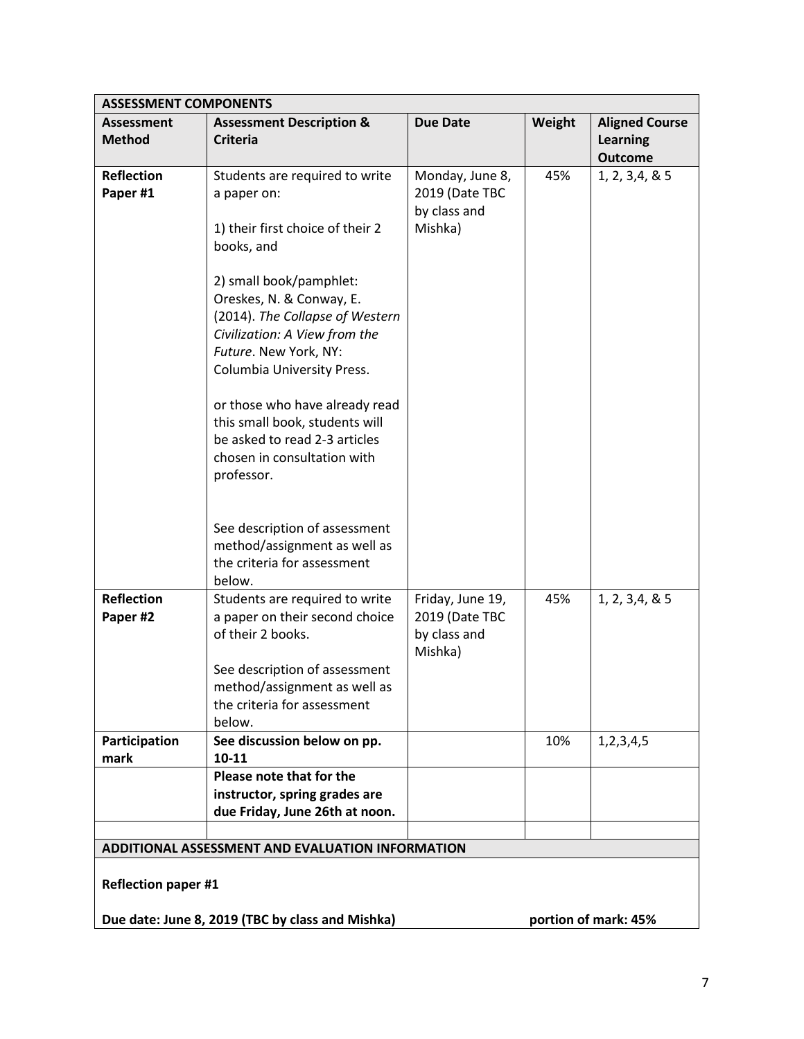|                                                                                | <b>ASSESSMENT COMPONENTS</b>                                                                                                                                                                                                                                                                                                                                                                                                        |                                                               |        |                                                            |  |
|--------------------------------------------------------------------------------|-------------------------------------------------------------------------------------------------------------------------------------------------------------------------------------------------------------------------------------------------------------------------------------------------------------------------------------------------------------------------------------------------------------------------------------|---------------------------------------------------------------|--------|------------------------------------------------------------|--|
| <b>Assessment</b><br><b>Method</b>                                             | <b>Assessment Description &amp;</b><br><b>Criteria</b>                                                                                                                                                                                                                                                                                                                                                                              | <b>Due Date</b>                                               | Weight | <b>Aligned Course</b><br><b>Learning</b><br><b>Outcome</b> |  |
| <b>Reflection</b><br>Paper #1                                                  | Students are required to write<br>a paper on:<br>1) their first choice of their 2<br>books, and<br>2) small book/pamphlet:<br>Oreskes, N. & Conway, E.<br>(2014). The Collapse of Western<br>Civilization: A View from the<br>Future. New York, NY:<br>Columbia University Press.<br>or those who have already read<br>this small book, students will<br>be asked to read 2-3 articles<br>chosen in consultation with<br>professor. | Monday, June 8,<br>2019 (Date TBC<br>by class and<br>Mishka)  | 45%    | 1, 2, 3, 4, 8, 5                                           |  |
|                                                                                | See description of assessment<br>method/assignment as well as<br>the criteria for assessment<br>below.                                                                                                                                                                                                                                                                                                                              |                                                               |        |                                                            |  |
| <b>Reflection</b><br>Paper #2                                                  | Students are required to write<br>a paper on their second choice<br>of their 2 books.<br>See description of assessment<br>method/assignment as well as<br>the criteria for assessment<br>below.                                                                                                                                                                                                                                     | Friday, June 19,<br>2019 (Date TBC<br>by class and<br>Mishka) | 45%    | 1, 2, 3, 4, 8, 5                                           |  |
| Participation<br>mark                                                          | See discussion below on pp.<br>10-11                                                                                                                                                                                                                                                                                                                                                                                                |                                                               | 10%    | 1, 2, 3, 4, 5                                              |  |
|                                                                                | Please note that for the<br>instructor, spring grades are<br>due Friday, June 26th at noon.                                                                                                                                                                                                                                                                                                                                         |                                                               |        |                                                            |  |
| ADDITIONAL ASSESSMENT AND EVALUATION INFORMATION<br><b>Reflection paper #1</b> |                                                                                                                                                                                                                                                                                                                                                                                                                                     |                                                               |        |                                                            |  |
|                                                                                | Due date: June 8, 2019 (TBC by class and Mishka)<br>portion of mark: 45%                                                                                                                                                                                                                                                                                                                                                            |                                                               |        |                                                            |  |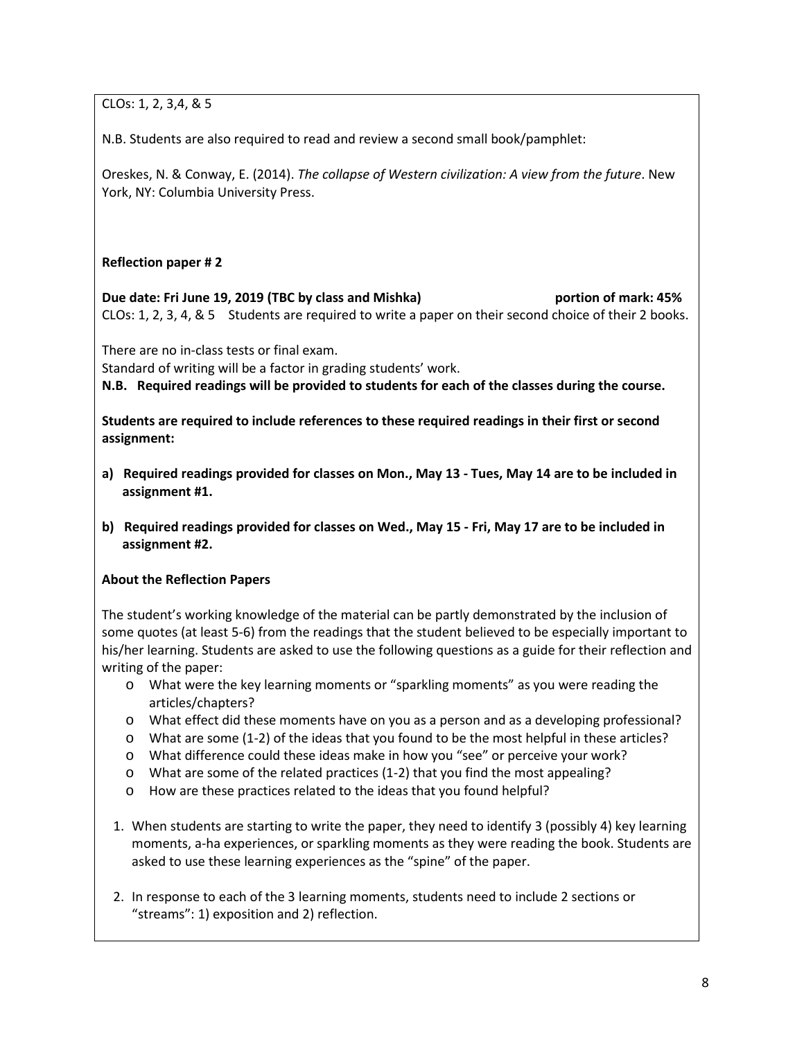CLOs: 1, 2, 3,4, & 5

N.B. Students are also required to read and review a second small book/pamphlet:

Oreskes, N. & Conway, E. (2014). *The collapse of Western civilization: A view from the future*. New York, NY: Columbia University Press.

### **Reflection paper # 2**

**Due date: Fri June 19, 2019 (TBC by class and Mishka) bortion of mark: 45% bortion of mark: 45%** CLOs: 1, 2, 3, 4, & 5 Students are required to write a paper on their second choice of their 2 books.

There are no in-class tests or final exam.

Standard of writing will be a factor in grading students' work.

**N.B. Required readings will be provided to students for each of the classes during the course.** 

**Students are required to include references to these required readings in their first or second assignment:**

- **a) Required readings provided for classes on Mon., May 13 - Tues, May 14 are to be included in assignment #1.**
- **b) Required readings provided for classes on Wed., May 15 - Fri, May 17 are to be included in assignment #2.**

### **About the Reflection Papers**

The student's working knowledge of the material can be partly demonstrated by the inclusion of some quotes (at least 5-6) from the readings that the student believed to be especially important to his/her learning. Students are asked to use the following questions as a guide for their reflection and writing of the paper:

- o What were the key learning moments or "sparkling moments" as you were reading the articles/chapters?
- o What effect did these moments have on you as a person and as a developing professional?
- o What are some (1-2) of the ideas that you found to be the most helpful in these articles?
- o What difference could these ideas make in how you "see" or perceive your work?
- o What are some of the related practices (1-2) that you find the most appealing?
- o How are these practices related to the ideas that you found helpful?
- 1. When students are starting to write the paper, they need to identify 3 (possibly 4) key learning moments, a-ha experiences, or sparkling moments as they were reading the book. Students are asked to use these learning experiences as the "spine" of the paper.
- 2. In response to each of the 3 learning moments, students need to include 2 sections or "streams": 1) exposition and 2) reflection.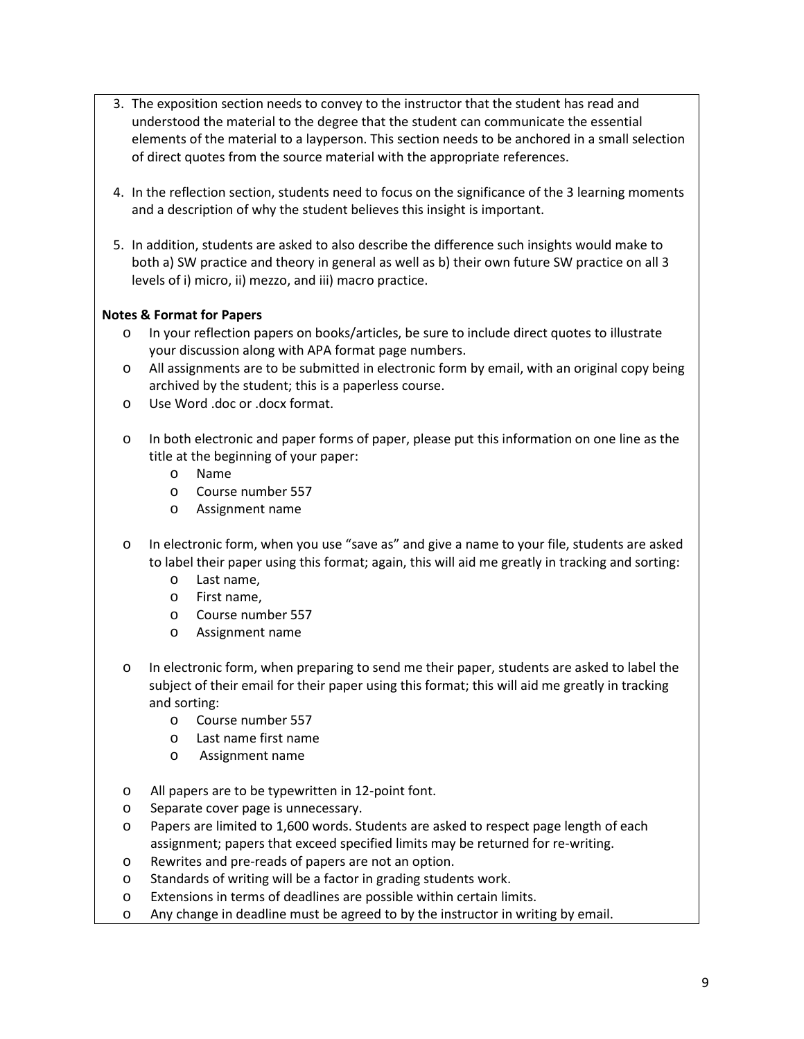- 3. The exposition section needs to convey to the instructor that the student has read and understood the material to the degree that the student can communicate the essential elements of the material to a layperson. This section needs to be anchored in a small selection of direct quotes from the source material with the appropriate references.
- 4. In the reflection section, students need to focus on the significance of the 3 learning moments and a description of why the student believes this insight is important.
- 5. In addition, students are asked to also describe the difference such insights would make to both a) SW practice and theory in general as well as b) their own future SW practice on all 3 levels of i) micro, ii) mezzo, and iii) macro practice.

### **Notes & Format for Papers**

- o In your reflection papers on books/articles, be sure to include direct quotes to illustrate your discussion along with APA format page numbers.
- o All assignments are to be submitted in electronic form by email, with an original copy being archived by the student; this is a paperless course.
- o Use Word .doc or .docx format.
- o In both electronic and paper forms of paper, please put this information on one line as the title at the beginning of your paper:
	- o Name
	- o Course number 557
	- o Assignment name
- o In electronic form, when you use "save as" and give a name to your file, students are asked to label their paper using this format; again, this will aid me greatly in tracking and sorting:
	- o Last name,
	- o First name,
	- o Course number 557
	- o Assignment name
- o In electronic form, when preparing to send me their paper, students are asked to label the subject of their email for their paper using this format; this will aid me greatly in tracking and sorting:
	- o Course number 557
	- o Last name first name
	- o Assignment name
- o All papers are to be typewritten in 12-point font.
- o Separate cover page is unnecessary.
- o Papers are limited to 1,600 words. Students are asked to respect page length of each assignment; papers that exceed specified limits may be returned for re-writing.
- o Rewrites and pre-reads of papers are not an option.
- o Standards of writing will be a factor in grading students work.
- o Extensions in terms of deadlines are possible within certain limits.
- o Any change in deadline must be agreed to by the instructor in writing by email.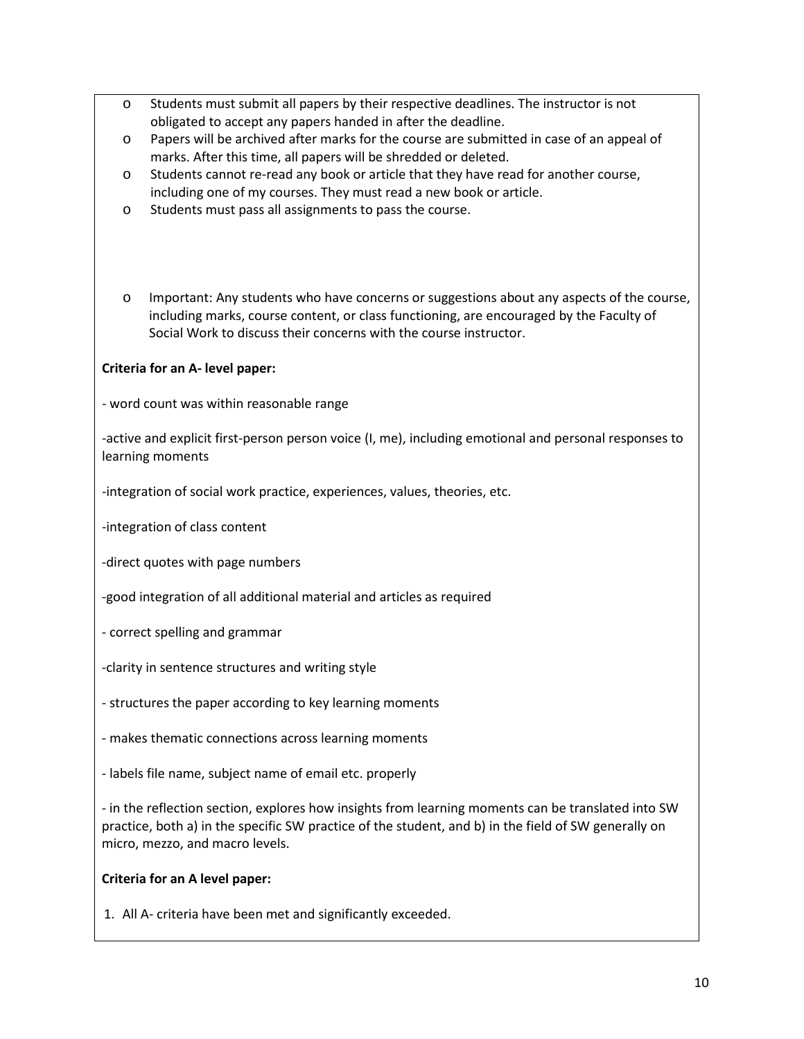- o Students must submit all papers by their respective deadlines. The instructor is not obligated to accept any papers handed in after the deadline.
- o Papers will be archived after marks for the course are submitted in case of an appeal of marks. After this time, all papers will be shredded or deleted.
- o Students cannot re-read any book or article that they have read for another course, including one of my courses. They must read a new book or article.
- o Students must pass all assignments to pass the course.
- o Important: Any students who have concerns or suggestions about any aspects of the course, including marks, course content, or class functioning, are encouraged by the Faculty of Social Work to discuss their concerns with the course instructor.

### **Criteria for an A- level paper:**

- word count was within reasonable range

-active and explicit first-person person voice (I, me), including emotional and personal responses to learning moments

-integration of social work practice, experiences, values, theories, etc.

-integration of class content

-direct quotes with page numbers

-good integration of all additional material and articles as required

- correct spelling and grammar
- -clarity in sentence structures and writing style
- structures the paper according to key learning moments
- makes thematic connections across learning moments
- labels file name, subject name of email etc. properly

- in the reflection section, explores how insights from learning moments can be translated into SW practice, both a) in the specific SW practice of the student, and b) in the field of SW generally on micro, mezzo, and macro levels.

#### **Criteria for an A level paper:**

1. All A- criteria have been met and significantly exceeded.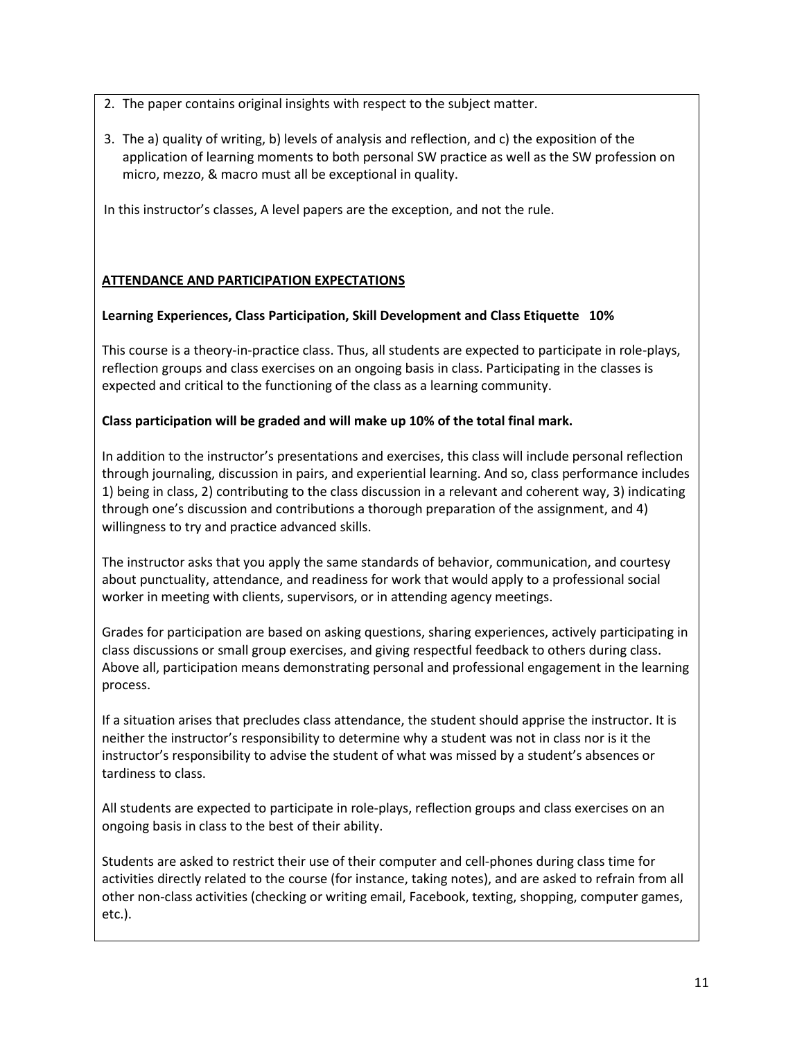- 2. The paper contains original insights with respect to the subject matter.
- 3. The a) quality of writing, b) levels of analysis and reflection, and c) the exposition of the application of learning moments to both personal SW practice as well as the SW profession on micro, mezzo, & macro must all be exceptional in quality.

In this instructor's classes, A level papers are the exception, and not the rule.

## **ATTENDANCE AND PARTICIPATION EXPECTATIONS**

### **Learning Experiences, Class Participation, Skill Development and Class Etiquette 10%**

This course is a theory-in-practice class. Thus, all students are expected to participate in role-plays, reflection groups and class exercises on an ongoing basis in class. Participating in the classes is expected and critical to the functioning of the class as a learning community.

### **Class participation will be graded and will make up 10% of the total final mark.**

In addition to the instructor's presentations and exercises, this class will include personal reflection through journaling, discussion in pairs, and experiential learning. And so, class performance includes 1) being in class, 2) contributing to the class discussion in a relevant and coherent way, 3) indicating through one's discussion and contributions a thorough preparation of the assignment, and 4) willingness to try and practice advanced skills.

The instructor asks that you apply the same standards of behavior, communication, and courtesy about punctuality, attendance, and readiness for work that would apply to a professional social worker in meeting with clients, supervisors, or in attending agency meetings.

Grades for participation are based on asking questions, sharing experiences, actively participating in class discussions or small group exercises, and giving respectful feedback to others during class. Above all, participation means demonstrating personal and professional engagement in the learning process.

If a situation arises that precludes class attendance, the student should apprise the instructor. It is neither the instructor's responsibility to determine why a student was not in class nor is it the instructor's responsibility to advise the student of what was missed by a student's absences or tardiness to class.

All students are expected to participate in role-plays, reflection groups and class exercises on an ongoing basis in class to the best of their ability.

Students are asked to restrict their use of their computer and cell-phones during class time for activities directly related to the course (for instance, taking notes), and are asked to refrain from all other non-class activities (checking or writing email, Facebook, texting, shopping, computer games, etc.).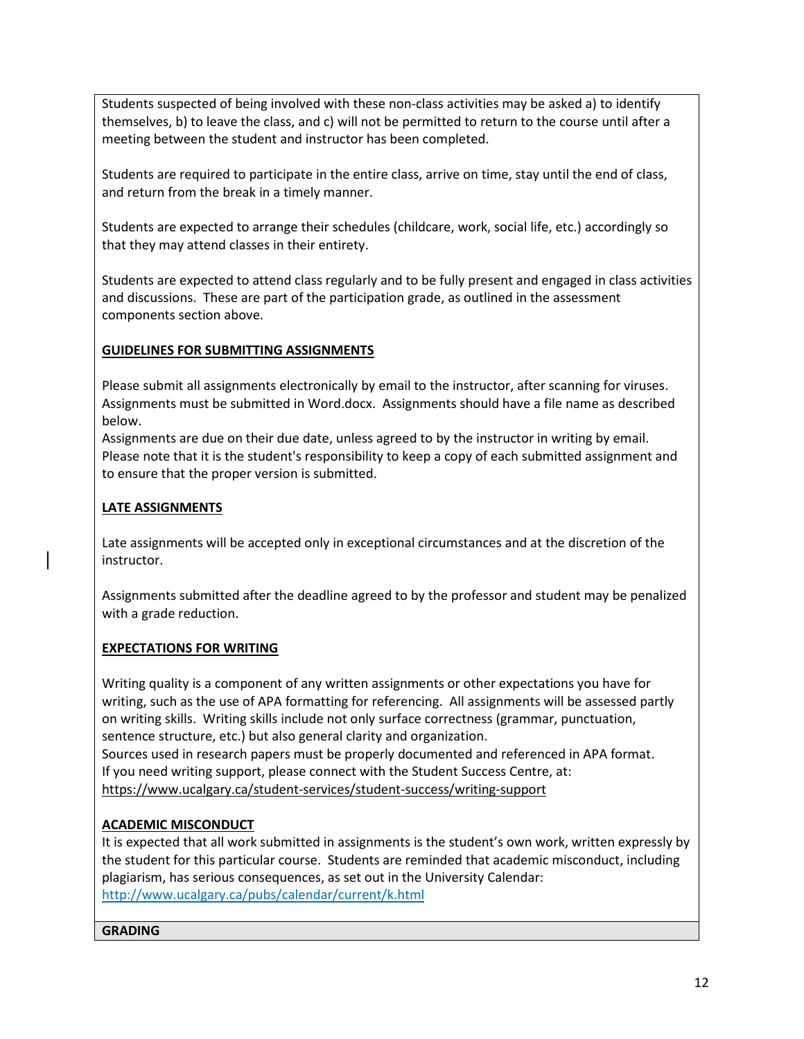Students suspected of being involved with these non-class activities may be asked a) to identify themselves, b) to leave the class, and c) will not be permitted to return to the course until after a meeting between the student and instructor has been completed.

Students are required to participate in the entire class, arrive on time, stay until the end of class, and return from the break in a timely manner.

Students are expected to arrange their schedules (childcare, work, social life, etc.) accordingly so that they may attend classes in their entirety.

Students are expected to attend class regularly and to be fully present and engaged in class activities and discussions. These are part of the participation grade, as outlined in the assessment components section above.

## **GUIDELINES FOR SUBMITTING ASSIGNMENTS**

Please submit all assignments electronically by email to the instructor, after scanning for viruses. Assignments must be submitted in Word.docx. Assignments should have a file name as described below.

Assignments are due on their due date, unless agreed to by the instructor in writing by email. Please note that it is the student's responsibility to keep a copy of each submitted assignment and to ensure that the proper version is submitted.

## **LATE ASSIGNMENTS**

Late assignments will be accepted only in exceptional circumstances and at the discretion of the instructor.

Assignments submitted after the deadline agreed to by the professor and student may be penalized with a grade reduction.

## **EXPECTATIONS FOR WRITING**

Writing quality is a component of any written assignments or other expectations you have for writing, such as the use of APA formatting for referencing. All assignments will be assessed partly on writing skills. Writing skills include not only surface correctness (grammar, punctuation, sentence structure, etc.) but also general clarity and organization. Sources used in research papers must be properly documented and referenced in APA format. If you need writing support, please connect with the Student Success Centre, at:

<https://www.ucalgary.ca/student-services/student-success/writing-support>

## **ACADEMIC MISCONDUCT**

It is expected that all work submitted in assignments is the student's own work, written expressly by the student for this particular course. Students are reminded that academic misconduct, including plagiarism, has serious consequences, as set out in the University Calendar: <http://www.ucalgary.ca/pubs/calendar/current/k.html>

### **GRADING**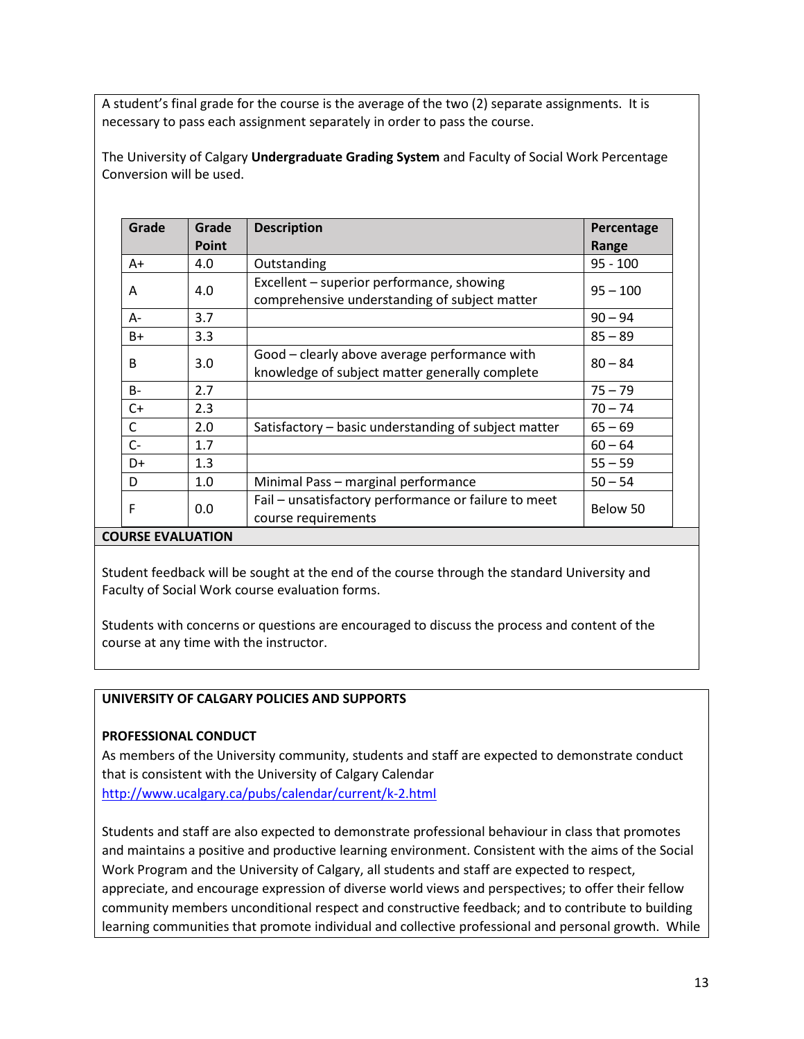A student's final grade for the course is the average of the two (2) separate assignments. It is necessary to pass each assignment separately in order to pass the course.

The University of Calgary **Undergraduate Grading System** and Faculty of Social Work Percentage Conversion will be used.

| Grade                    | Grade | <b>Description</b>                                                                              | Percentage |
|--------------------------|-------|-------------------------------------------------------------------------------------------------|------------|
|                          | Point |                                                                                                 | Range      |
| A+                       | 4.0   | Outstanding                                                                                     | $95 - 100$ |
| A                        | 4.0   | Excellent – superior performance, showing<br>comprehensive understanding of subject matter      | $95 - 100$ |
| А-                       | 3.7   |                                                                                                 | $90 - 94$  |
| B+                       | 3.3   |                                                                                                 | $85 - 89$  |
| B                        | 3.0   | Good - clearly above average performance with<br>knowledge of subject matter generally complete | $80 - 84$  |
| B-                       | 2.7   |                                                                                                 | $75 - 79$  |
| $C+$                     | 2.3   |                                                                                                 | $70 - 74$  |
| C                        | 2.0   | Satisfactory – basic understanding of subject matter                                            | $65 - 69$  |
| C-                       | 1.7   |                                                                                                 | $60 - 64$  |
| D+                       | 1.3   |                                                                                                 | $55 - 59$  |
| D                        | 1.0   | Minimal Pass - marginal performance                                                             | $50 - 54$  |
| F                        | 0.0   | Fail - unsatisfactory performance or failure to meet<br>course requirements                     | Below 50   |
| <b>COURSE EVALUATION</b> |       |                                                                                                 |            |

Student feedback will be sought at the end of the course through the standard University and Faculty of Social Work course evaluation forms.

Students with concerns or questions are encouraged to discuss the process and content of the course at any time with the instructor.

### **UNIVERSITY OF CALGARY POLICIES AND SUPPORTS**

#### **PROFESSIONAL CONDUCT**

As members of the University community, students and staff are expected to demonstrate conduct that is consistent with the University of Calgary Calendar <http://www.ucalgary.ca/pubs/calendar/current/k-2.html>

Students and staff are also expected to demonstrate professional behaviour in class that promotes and maintains a positive and productive learning environment. Consistent with the aims of the Social Work Program and the University of Calgary, all students and staff are expected to respect, appreciate, and encourage expression of diverse world views and perspectives; to offer their fellow community members unconditional respect and constructive feedback; and to contribute to building learning communities that promote individual and collective professional and personal growth. While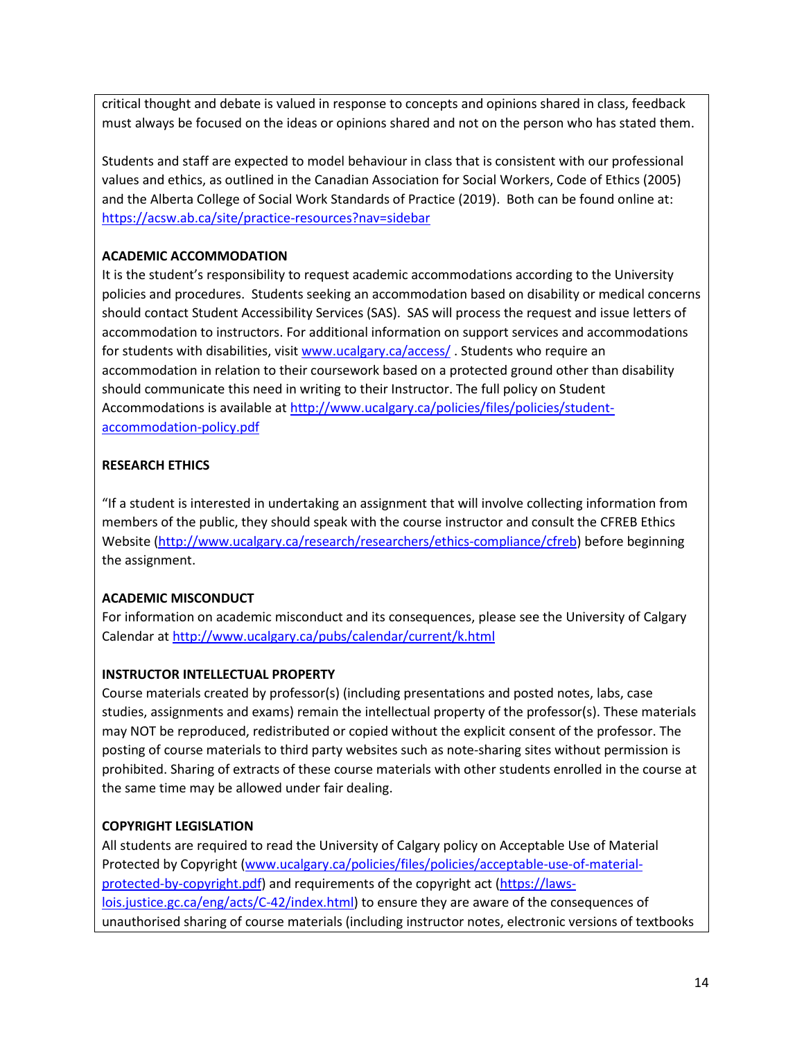critical thought and debate is valued in response to concepts and opinions shared in class, feedback must always be focused on the ideas or opinions shared and not on the person who has stated them.

Students and staff are expected to model behaviour in class that is consistent with our professional values and ethics, as outlined in the Canadian Association for Social Workers, Code of Ethics (2005) and the Alberta College of Social Work Standards of Practice (2019). Both can be found online at: <https://acsw.ab.ca/site/practice-resources?nav=sidebar>

## **ACADEMIC ACCOMMODATION**

It is the student's responsibility to request academic accommodations according to the University policies and procedures. Students seeking an accommodation based on disability or medical concerns should contact Student Accessibility Services (SAS). SAS will process the request and issue letters of accommodation to instructors. For additional information on support services and accommodations for students with disabilities, visi[t www.ucalgary.ca/access/](http://www.ucalgary.ca/access/). Students who require an accommodation in relation to their coursework based on a protected ground other than disability should communicate this need in writing to their Instructor. The full policy on Student Accommodations is available at [http://www.ucalgary.ca/policies/files/policies/student](http://www.ucalgary.ca/policies/files/policies/student-accommodation-policy.pdf)[accommodation-policy.pdf](http://www.ucalgary.ca/policies/files/policies/student-accommodation-policy.pdf)

### **RESEARCH ETHICS**

"If a student is interested in undertaking an assignment that will involve collecting information from members of the public, they should speak with the course instructor and consult the CFREB Ethics Website [\(http://www.ucalgary.ca/research/researchers/ethics-compliance/cfreb\)](http://www.ucalgary.ca/research/researchers/ethics-compliance/cfreb) before beginning the assignment.

### **ACADEMIC MISCONDUCT**

For information on academic misconduct and its consequences, please see the University of Calgary Calendar at<http://www.ucalgary.ca/pubs/calendar/current/k.html>

### **INSTRUCTOR INTELLECTUAL PROPERTY**

Course materials created by professor(s) (including presentations and posted notes, labs, case studies, assignments and exams) remain the intellectual property of the professor(s). These materials may NOT be reproduced, redistributed or copied without the explicit consent of the professor. The posting of course materials to third party websites such as note-sharing sites without permission is prohibited. Sharing of extracts of these course materials with other students enrolled in the course at the same time may be allowed under fair dealing.

### **COPYRIGHT LEGISLATION**

All students are required to read the University of Calgary policy on Acceptable Use of Material Protected by Copyright [\(www.ucalgary.ca/policies/files/policies/acceptable-use-of-material](http://www.ucalgary.ca/policies/files/policies/acceptable-use-of-material-protected-by-copyright.pdf)[protected-by-copyright.pdf\)](http://www.ucalgary.ca/policies/files/policies/acceptable-use-of-material-protected-by-copyright.pdf) and requirements of the copyright act [\(https://laws](https://laws-lois.justice.gc.ca/eng/acts/C-42/index.html)[lois.justice.gc.ca/eng/acts/C-42/index.html\)](https://laws-lois.justice.gc.ca/eng/acts/C-42/index.html) to ensure they are aware of the consequences of unauthorised sharing of course materials (including instructor notes, electronic versions of textbooks